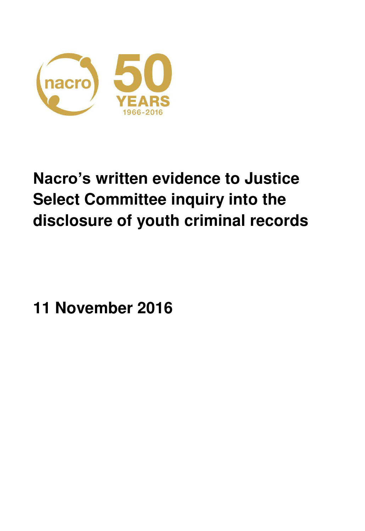

# **Nacro's written evidence to Justice Select Committee inquiry into the disclosure of youth criminal records**

**11 November 2016**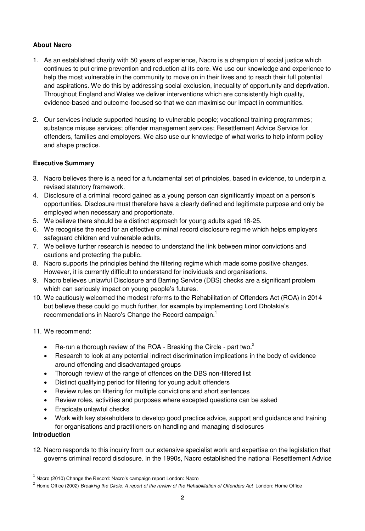# **About Nacro**

- 1. As an established charity with 50 years of experience, Nacro is a champion of social justice which continues to put crime prevention and reduction at its core. We use our knowledge and experience to help the most vulnerable in the community to move on in their lives and to reach their full potential and aspirations. We do this by addressing social exclusion, inequality of opportunity and deprivation. Throughout England and Wales we deliver interventions which are consistently high quality, evidence-based and outcome-focused so that we can maximise our impact in communities.
- 2. Our services include supported housing to vulnerable people; vocational training programmes; substance misuse services; offender management services; Resettlement Advice Service for offenders, families and employers. We also use our knowledge of what works to help inform policy and shape practice.

# **Executive Summary**

- 3. Nacro believes there is a need for a fundamental set of principles, based in evidence, to underpin a revised statutory framework.
- 4. Disclosure of a criminal record gained as a young person can significantly impact on a person's opportunities. Disclosure must therefore have a clearly defined and legitimate purpose and only be employed when necessary and proportionate.
- 5. We believe there should be a distinct approach for young adults aged 18-25.
- 6. We recognise the need for an effective criminal record disclosure regime which helps employers safeguard children and vulnerable adults.
- 7. We believe further research is needed to understand the link between minor convictions and cautions and protecting the public.
- 8. Nacro supports the principles behind the filtering regime which made some positive changes. However, it is currently difficult to understand for individuals and organisations.
- 9. Nacro believes unlawful Disclosure and Barring Service (DBS) checks are a significant problem which can seriously impact on young people's futures.
- 10. We cautiously welcomed the modest reforms to the Rehabilitation of Offenders Act (ROA) in 2014 but believe these could go much further, for example by implementing Lord Dholakia's recommendations in Nacro's Change the Record campaign.<sup>1</sup>

## 11. We recommend:

- **•** Re-run a thorough review of the ROA Breaking the Circle part two.<sup>2</sup>
- Research to look at any potential indirect discrimination implications in the body of evidence around offending and disadvantaged groups
- Thorough review of the range of offences on the DBS non-filtered list
- Distinct qualifying period for filtering for young adult offenders
- Review rules on filtering for multiple convictions and short sentences
- Review roles, activities and purposes where excepted questions can be asked
- Eradicate unlawful checks
- Work with key stakeholders to develop good practice advice, support and guidance and training for organisations and practitioners on handling and managing disclosures

## **Introduction**

 $\overline{a}$ 

12. Nacro responds to this inquiry from our extensive specialist work and expertise on the legislation that governs criminal record disclosure. In the 1990s, Nacro established the national Resettlement Advice

 $^{\rm 1}$  Nacro (2010) Change the Record: Nacro's campaign report London: Nacro

<sup>2</sup> Home Office (2002) *Breaking the Circle: A report of the review of the Rehabilitation of Offenders Act* London: Home Office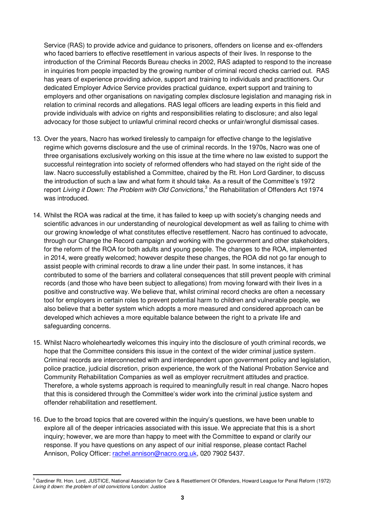Service (RAS) to provide advice and guidance to prisoners, offenders on license and ex-offenders who faced barriers to effective resettlement in various aspects of their lives. In response to the introduction of the Criminal Records Bureau checks in 2002, RAS adapted to respond to the increase in inquiries from people impacted by the growing number of criminal record checks carried out. RAS has years of experience providing advice, support and training to individuals and practitioners. Our dedicated Employer Advice Service provides practical guidance, expert support and training to employers and other organisations on navigating complex disclosure legislation and managing risk in relation to criminal records and allegations. RAS legal officers are leading experts in this field and provide individuals with advice on rights and responsibilities relating to disclosure; and also legal advocacy for those subject to unlawful criminal record checks or unfair/wrongful dismissal cases.

- 13. Over the years, Nacro has worked tirelessly to campaign for effective change to the legislative regime which governs disclosure and the use of criminal records. In the 1970s, Nacro was one of three organisations exclusively working on this issue at the time where no law existed to support the successful reintegration into society of reformed offenders who had stayed on the right side of the law. Nacro successfully established a Committee, chaired by the Rt. Hon Lord Gardiner, to discuss the introduction of such a law and what form it should take. As a result of the Committee's 1972 report *Living it Down: The Problem with Old Convictions*, 3 the Rehabilitation of Offenders Act 1974 was introduced.
- 14. Whilst the ROA was radical at the time, it has failed to keep up with society's changing needs and scientific advances in our understanding of neurological development as well as failing to chime with our growing knowledge of what constitutes effective resettlement. Nacro has continued to advocate, through our Change the Record campaign and working with the government and other stakeholders, for the reform of the ROA for both adults and young people. The changes to the ROA, implemented in 2014, were greatly welcomed; however despite these changes, the ROA did not go far enough to assist people with criminal records to draw a line under their past. In some instances, it has contributed to some of the barriers and collateral consequences that still prevent people with criminal records (and those who have been subject to allegations) from moving forward with their lives in a positive and constructive way. We believe that, whilst criminal record checks are often a necessary tool for employers in certain roles to prevent potential harm to children and vulnerable people, we also believe that a better system which adopts a more measured and considered approach can be developed which achieves a more equitable balance between the right to a private life and safeguarding concerns.
- 15. Whilst Nacro wholeheartedly welcomes this inquiry into the disclosure of youth criminal records, we hope that the Committee considers this issue in the context of the wider criminal justice system. Criminal records are interconnected with and interdependent upon government policy and legislation, police practice, judicial discretion, prison experience, the work of the National Probation Service and Community Rehabilitation Companies as well as employer recruitment attitudes and practice. Therefore, a whole systems approach is required to meaningfully result in real change. Nacro hopes that this is considered through the Committee's wider work into the criminal justice system and offender rehabilitation and resettlement.
- 16. Due to the broad topics that are covered within the inquiry's questions, we have been unable to explore all of the deeper intricacies associated with this issue. We appreciate that this is a short inquiry; however, we are more than happy to meet with the Committee to expand or clarify our response. If you have questions on any aspect of our initial response, please contact Rachel Annison, Policy Officer: [rachel.annison@nacro.org.uk,](mailto:rachel.annison@nacro.org.uk) 020 7902 5437.

<sup>3</sup> Gardiner Rt. Hon. Lord, JUSTICE, National Association for Care & Resettlement Of Offenders, Howard League for Penal Reform (1972) *Living it down: the problem of old convictions* London: Justice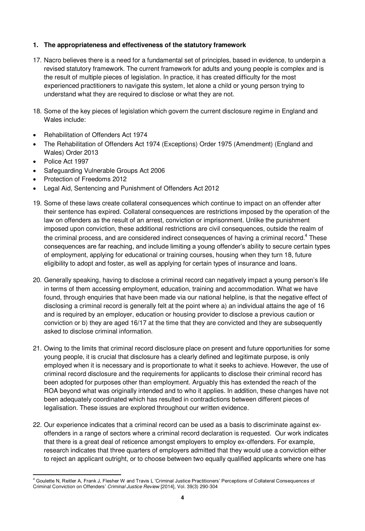## **1. The appropriateness and effectiveness of the statutory framework**

- 17. Nacro believes there is a need for a fundamental set of principles, based in evidence, to underpin a revised statutory framework. The current framework for adults and young people is complex and is the result of multiple pieces of legislation. In practice, it has created difficulty for the most experienced practitioners to navigate this system, let alone a child or young person trying to understand what they are required to disclose or what they are not.
- 18. Some of the key pieces of legislation which govern the current disclosure regime in England and Wales include:
- Rehabilitation of Offenders Act 1974
- The Rehabilitation of Offenders Act 1974 (Exceptions) Order 1975 (Amendment) (England and Wales) Order 2013
- Police Act 1997

- Safeguarding Vulnerable Groups Act 2006
- Protection of Freedoms 2012
- Legal Aid, Sentencing and Punishment of Offenders Act 2012
- 19. Some of these laws create collateral consequences which continue to impact on an offender after their sentence has expired. Collateral consequences are restrictions imposed by the operation of the law on offenders as the result of an arrest, conviction or imprisonment. Unlike the punishment imposed upon conviction, these additional restrictions are civil consequences, outside the realm of the criminal process, and are considered indirect consequences of having a criminal record.<sup>4</sup> These consequences are far reaching, and include limiting a young offender's ability to secure certain types of employment, applying for educational or training courses, housing when they turn 18, future eligibility to adopt and foster, as well as applying for certain types of insurance and loans.
- 20. Generally speaking, having to disclose a criminal record can negatively impact a young person's life in terms of them accessing employment, education, training and accommodation. What we have found, through enquiries that have been made via our national helpline, is that the negative effect of disclosing a criminal record is generally felt at the point where a) an individual attains the age of 16 and is required by an employer, education or housing provider to disclose a previous caution or conviction or b) they are aged 16/17 at the time that they are convicted and they are subsequently asked to disclose criminal information.
- 21. Owing to the limits that criminal record disclosure place on present and future opportunities for some young people, it is crucial that disclosure has a clearly defined and legitimate purpose, is only employed when it is necessary and is proportionate to what it seeks to achieve. However, the use of criminal record disclosure and the requirements for applicants to disclose their criminal record has been adopted for purposes other than employment. Arguably this has extended the reach of the ROA beyond what was originally intended and to who it applies. In addition, these changes have not been adequately coordinated which has resulted in contradictions between different pieces of legalisation. These issues are explored throughout our written evidence.
- 22. Our experience indicates that a criminal record can be used as a basis to discriminate against exoffenders in a range of sectors where a criminal record declaration is requested. Our work indicates that there is a great deal of reticence amongst employers to employ ex-offenders. For example, research indicates that three quarters of employers admitted that they would use a conviction either to reject an applicant outright, or to choose between two equally qualified applicants where one has

<sup>&</sup>lt;sup>4</sup> Goulette N, Reitler A, Frank J, Flesher W and Travis L 'Criminal Justice Practitioners' Perceptions of Collateral Consequences of Criminal Conviction on Offenders' *Criminal Justice Review* [2014], Vol. 39(3) 290-304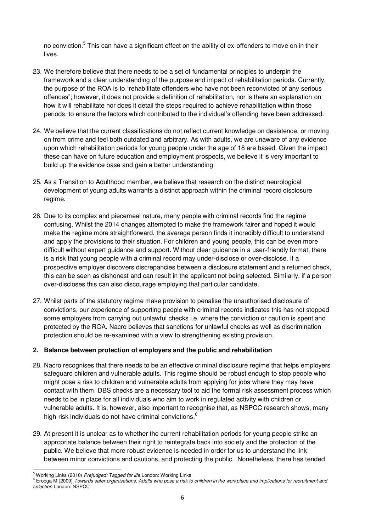no conviction.<sup>5</sup> This can have a significant effect on the ability of ex-offenders to move on in their lives.

- 23. We therefore believe that there needs to be a set of fundamental principles to underpin the framework and a clear understanding of the purpose and impact of rehabilitation periods. Currently, the purpose of the ROA is to "rehabilitate offenders who have not been reconvicted of any serious offences"; however, it does not provide a definition of rehabilitation, nor is there an explanation on how it will rehabilitate nor does it detail the steps required to achieve rehabilitation within those periods, to ensure the factors which contributed to the individual's offending have been addressed.
- 24. We believe that the current classifications do not reflect current knowledge on desistence, or moving on from crime and feel both outdated and arbitrary. As with adults, we are unaware of any evidence upon which rehabilitation periods for young people under the age of 18 are based. Given the impact these can have on future education and employment prospects, we believe it is very important to build up the evidence base and gain a better understanding.
- 25. As a Transition to Adulthood member, we believe that research on the distinct neurological development of young adults warrants a distinct approach within the criminal record disclosure regime.
- 26. Due to its complex and piecemeal nature, many people with criminal records find the regime confusing. Whilst the 2014 changes attempted to make the framework fairer and hoped it would make the regime more straightforward, the average person finds it incredibly difficult to understand and apply the provisions to their situation. For children and young people, this can be even more difficult without expert guidance and support. Without clear guidance in a user-friendly format, there is a risk that young people with a criminal record may under-disclose or over-disclose. If a prospective employer discovers discrepancies between a disclosure statement and a returned check, this can be seen as dishonest and can result in the applicant not being selected. Similarly, if a person over-discloses this can also discourage employing that particular candidate.
- 27. Whilst parts of the statutory regime make provision to penalise the unauthorised disclosure of convictions, our experience of supporting people with criminal records indicates this has not stopped some employers from carrying out unlawful checks i.e. where the conviction or caution is spent and protected by the ROA. Nacro believes that sanctions for unlawful checks as well as discrimination protection should be re-examined with a view to strengthening existing provision.

#### **2. Balance between protection of employers and the public and rehabilitation**

- 28. Nacro recognises that there needs to be an effective criminal disclosure regime that helps employers safeguard children and vulnerable adults. This regime should be robust enough to stop people who might pose a risk to children and vulnerable adults from applying for jobs where they may have contact with them. DBS checks are a necessary tool to aid the formal risk assessment process which needs to be in place for all individuals who aim to work in regulated activity with children or vulnerable adults. It is, however, also important to recognise that, as NSPCC research shows, many high-risk individuals do not have criminal convictions.<sup>6</sup>
- 29. At present it is unclear as to whether the current rehabilitation periods for young people strike an appropriate balance between their right to reintegrate back into society and the protection of the public. We believe that more robust evidence is needed in order for us to understand the link between minor convictions and cautions, and protecting the public. Nonetheless, there has tended

l

<sup>5</sup> Working Links (2010) *Prejudged: Tagged for life* London: Working Links

<sup>6</sup> Erooga M (2009) *Towards safer organisations: Adults who pose a risk to children in the workplace and implications for recruitment and selection* London: NSPCC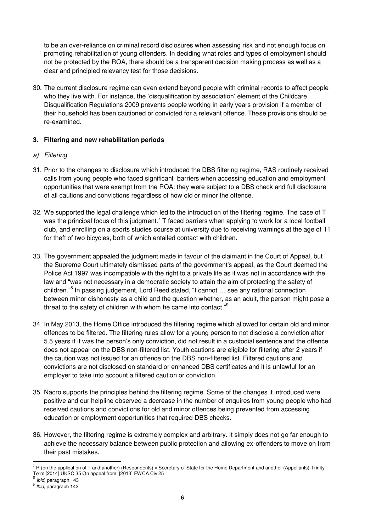to be an over-reliance on criminal record disclosures when assessing risk and not enough focus on promoting rehabilitation of young offenders. In deciding what roles and types of employment should not be protected by the ROA, there should be a transparent decision making process as well as a clear and principled relevancy test for those decisions.

30. The current disclosure regime can even extend beyond people with criminal records to affect people who they live with. For instance, the 'disqualification by association' element of the Childcare Disqualification Regulations 2009 prevents people working in early years provision if a member of their household has been cautioned or convicted for a relevant offence. These provisions should be re-examined.

## **3. Filtering and new rehabilitation periods**

# *a) Filtering*

- 31. Prior to the changes to disclosure which introduced the DBS filtering regime, RAS routinely received calls from young people who faced significant barriers when accessing education and employment opportunities that were exempt from the ROA: they were subject to a DBS check and full disclosure of all cautions and convictions regardless of how old or minor the offence.
- 32. We supported the legal challenge which led to the introduction of the filtering regime. The [case of T](https://www.supremecourt.uk/decided-cases/docs/UKSC_2013_0048_Judgment.pdf)  was the principal focus of this judgment.<sup>7</sup> T faced barriers when applying to work for a local football club, and enrolling on a sports studies course at university due to receiving warnings at the age of 11 for theft of two bicycles, both of which entailed contact with children.
- 33. The government appealed the judgment made in favour of the claimant in the Court of Appeal, but the Supreme Court ultimately dismissed parts of the government's appeal, as the Court deemed the Police Act 1997 was incompatible with the right to a private life as it was not in accordance with the law and "was not necessary in a democratic society to attain the aim of protecting the safety of children."<sup>8</sup> In passing judgement, Lord Reed stated, "I cannot ... see any rational connection between minor dishonesty as a child and the question whether, as an adult, the person might pose a threat to the safety of children with whom he came into contact."<sup>9</sup>
- 34. In May 2013, the Home Office introduced the filtering regime which allowed for certain old and minor offences to be filtered. The filtering rules allow for a young person to not disclose a conviction after 5.5 years if it was the person's only conviction, did not result in a custodial sentence and the offence does not appear on the DBS non-filtered list. Youth cautions are eligible for filtering after 2 years if the caution was not issued for an offence on the DBS non-filtered list. Filtered cautions and convictions are not disclosed on standard or enhanced DBS certificates and it is unlawful for an employer to take into account a filtered caution or conviction.
- 35. Nacro supports the principles behind the filtering regime. Some of the changes it introduced were positive and our helpline observed a decrease in the number of enquires from young people who had received cautions and convictions for old and minor offences being prevented from accessing education or employment opportunities that required DBS checks.
- 36. However, the filtering regime is extremely complex and arbitrary. It simply does not go far enough to achieve the necessary balance between public protection and allowing ex-offenders to move on from their past mistakes.

<sup>7</sup> R (on the application of T and another) (Respondents) v Secretary of State for the Home Department and another (Appellants) Trinity Term [2014] UKSC 35 On appeal from: [2013] EWCA Civ 25 8

*Ibid*, paragraph 143

<sup>9</sup> *Ibid*, paragraph 142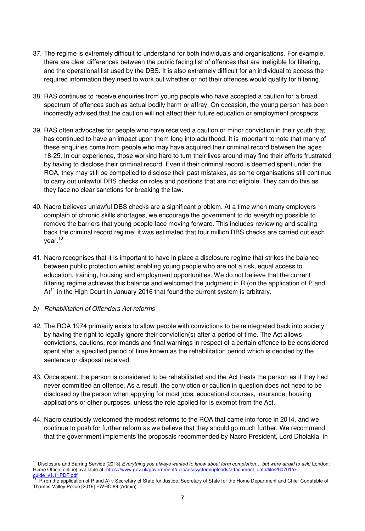- 37. The regime is extremely difficult to understand for both individuals and organisations. For example, there are clear differences between the public facing list of offences that are ineligible for filtering, and the operational list used by the DBS. It is also extremely difficult for an individual to access the required information they need to work out whether or not their offences would qualify for filtering.
- 38. RAS continues to receive enquiries from young people who have accepted a caution for a broad spectrum of offences such as actual bodily harm or affray. On occasion, the young person has been incorrectly advised that the caution will not affect their future education or employment prospects.
- 39. RAS often advocates for people who have received a caution or minor conviction in their youth that has continued to have an impact upon the[m long into adulthood.](http://www.lincolnshirelive.co.uk/i-was-done-for-affray-in-1999-now-i-m-38-and-can-t-get-work/story-29854812-detail/story.html) It is important to note that many of these enquiries come from people who may have acquired their criminal record between the ages 18-25. In our experience, those working hard to turn their lives around may find their efforts frustrated by having to disclose their criminal record. Even if their criminal record is deemed spent under the ROA, they may still be compelled to disclose their past mistakes, as some organisations still continue to carry out unlawful DBS checks on roles and positions that are not eligible. They can do this as they face no clear sanctions for breaking the law.
- 40. Nacro believes unlawful DBS checks are a significant problem. At a time when many employers complain of chronic skills shortages, we encourage the government to do everything possible to remove the barriers that young people face moving forward. This includes reviewing and scaling back the criminal record regime; it was estimated that four million DBS checks are carried out each year.<sup>10</sup>
- 41. Nacro recognises that it is important to have in place a disclosure regime that strikes the balance between public protection whilst enabling young people who are not a risk, equal access to education, training, housing and employment opportunities. We do not believe that the current filtering regime achieves this balance and welcomed the judgment in R (on the application of P and  $A$ <sup>11</sup> in the High Court in January 2016 that found the current system is arbitrary.

#### *b) Rehabilitation of Offenders Act reforms*

- 42. The ROA 1974 primarily exists to allow people with convictions to be reintegrated back into society by having the right to legally ignore their conviction(s) after a period of time. The Act allows convictions, cautions, reprimands and final warnings in respect of a certain offence to be considered spent after a specified period of time known as the rehabilitation period which is decided by the sentence or disposal received.
- 43. Once spent, the person is considered to be rehabilitated and the Act treats the person as if they had never committed an offence. As a result, the conviction or caution in question does not need to be disclosed by the person when applying for most jobs, educational courses, insurance, housing applications or other purposes, unless the role applied for is exempt from the Act.
- 44. Nacro cautiously welcomed the modest reforms to the ROA that came into force in 2014, and we continue to push for further reform as we believe that they should go much further. We recommend that the government implements the proposals recommended by Nacro President, Lord Dholakia, in

<sup>10</sup> Disclosure and Barring Service (2013) *Everything you always wanted to know about form completion… but were afraid to ask!* London: Home Office [online] available at: [https://www.gov.uk/government/uploads/system/uploads/attachment\\_data/file/260701/e](https://www.gov.uk/government/uploads/system/uploads/attachment_data/file/260701/e-guide_v1.1_PDF.pdf)quide\_v1.1\_PDF.pdf<br><sup>11</sup> B (on the epplicat

R (on the application of P and A) v Secretary of State for Justice, Secretary of State for the Home Department and Chief Constable of Thames Valley Police [2016] EWHC 89 (Admin)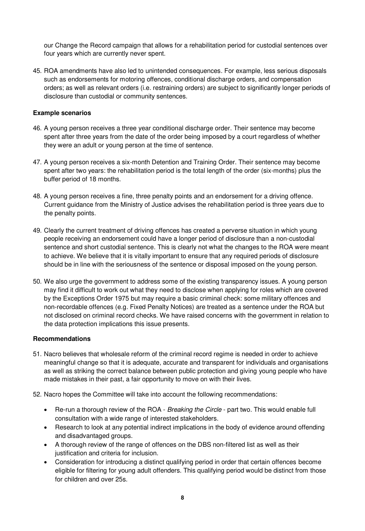our Change the Record campaign that allows for a rehabilitation period for custodial sentences over four years which are currently never spent.

45. ROA amendments have also led to unintended consequences. For example, less serious disposals such as endorsements for motoring offences, conditional discharge orders, and compensation orders; as well as relevant orders (i.e. restraining orders) are subject to significantly longer periods of disclosure than custodial or community sentences.

#### **Example scenarios**

- 46. A young person receives a three year conditional discharge order. Their sentence may become spent after three years from the date of the order being imposed by a court regardless of whether they were an adult or young person at the time of sentence.
- 47. A young person receives a six-month Detention and Training Order. Their sentence may become spent after two years: the rehabilitation period is the total length of the order (six-months) plus the buffer period of 18 months.
- 48. A young person receives a fine, three penalty points and an endorsement for a driving offence. Current guidance from the Ministry of Justice advises the rehabilitation period is three years due to the penalty points.
- 49. Clearly the current treatment of driving offences has created a perverse situation in which young people receiving an endorsement could have a longer period of disclosure than a non-custodial sentence and short custodial sentence. This is clearly not what the changes to the ROA were meant to achieve. We believe that it is vitally important to ensure that any required periods of disclosure should be in line with the seriousness of the sentence or disposal imposed on the young person.
- 50. We also urge the government to address some of the existing transparency issues. A young person may find it difficult to work out what they need to disclose when applying for roles which are covered by the Exceptions Order 1975 but may require a basic criminal check: some military offences and non-recordable offences (e.g. Fixed Penalty Notices) are treated as a sentence under the ROA but not disclosed on criminal record checks. We have raised concerns with the government in relation to the data protection implications this issue presents.

#### **Recommendations**

- 51. Nacro believes that wholesale reform of the criminal record regime is needed in order to achieve meaningful change so that it is adequate, accurate and transparent for individuals and organisations as well as striking the correct balance between public protection and giving young people who have made mistakes in their past, a fair opportunity to move on with their lives.
- 52. Nacro hopes the Committee will take into account the following recommendations:
	- Re-run a thorough review of the ROA *Breaking the Circle* part two. This would enable full consultation with a wide range of interested stakeholders.
	- Research to look at any potential indirect implications in the body of evidence around offending and disadvantaged groups.
	- A thorough review of the range of offences on the DBS non-filtered list as well as their justification and criteria for inclusion.
	- Consideration for introducing a distinct qualifying period in order that certain offences become eligible for filtering for young adult offenders. This qualifying period would be distinct from those for children and over 25s.